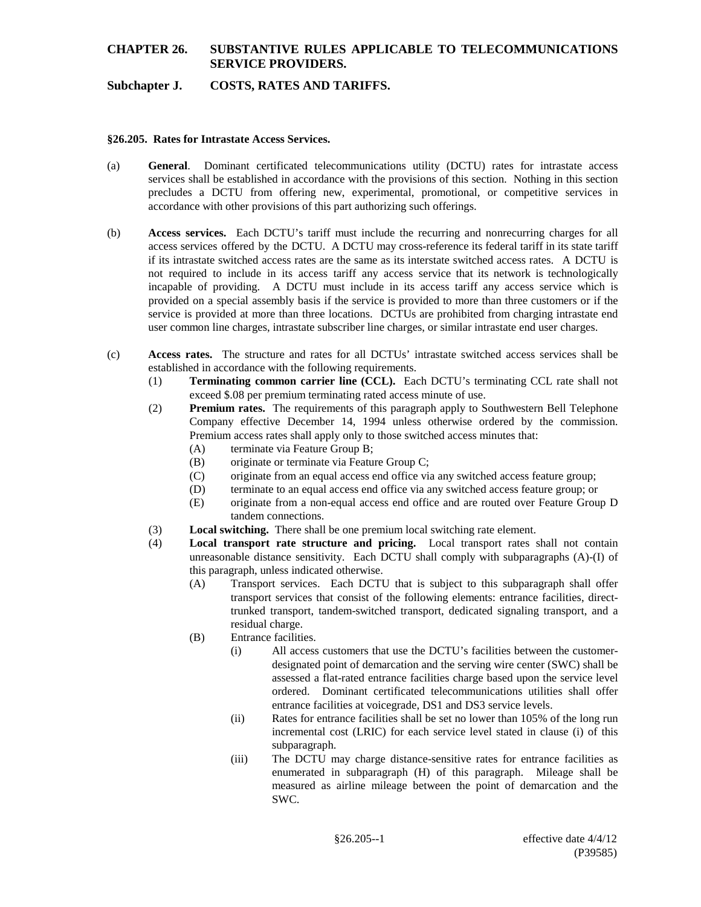## **Subchapter J. COSTS, RATES AND TARIFFS.**

#### **§26.205. Rates for Intrastate Access Services.**

- (a) **General**. Dominant certificated telecommunications utility (DCTU) rates for intrastate access services shall be established in accordance with the provisions of this section. Nothing in this section precludes a DCTU from offering new, experimental, promotional, or competitive services in accordance with other provisions of this part authorizing such offerings.
- (b) **Access services.** Each DCTU's tariff must include the recurring and nonrecurring charges for all access services offered by the DCTU. A DCTU may cross-reference its federal tariff in its state tariff if its intrastate switched access rates are the same as its interstate switched access rates. A DCTU is not required to include in its access tariff any access service that its network is technologically incapable of providing. A DCTU must include in its access tariff any access service which is provided on a special assembly basis if the service is provided to more than three customers or if the service is provided at more than three locations. DCTUs are prohibited from charging intrastate end user common line charges, intrastate subscriber line charges, or similar intrastate end user charges.
- (c) **Access rates.** The structure and rates for all DCTUs' intrastate switched access services shall be established in accordance with the following requirements.
	- (1) **Terminating common carrier line (CCL).** Each DCTU's terminating CCL rate shall not exceed \$.08 per premium terminating rated access minute of use.
	- (2) **Premium rates.** The requirements of this paragraph apply to Southwestern Bell Telephone Company effective December 14, 1994 unless otherwise ordered by the commission. Premium access rates shall apply only to those switched access minutes that:
		- (A) terminate via Feature Group B;
		- (B) originate or terminate via Feature Group C;
		- (C) originate from an equal access end office via any switched access feature group;
		- (D) terminate to an equal access end office via any switched access feature group; or
		- (E) originate from a non-equal access end office and are routed over Feature Group D tandem connections.
	- (3) **Local switching.** There shall be one premium local switching rate element.
	- (4) **Local transport rate structure and pricing.** Local transport rates shall not contain unreasonable distance sensitivity. Each DCTU shall comply with subparagraphs (A)-(I) of this paragraph, unless indicated otherwise.
		- (A) Transport services. Each DCTU that is subject to this subparagraph shall offer transport services that consist of the following elements: entrance facilities, directtrunked transport, tandem-switched transport, dedicated signaling transport, and a residual charge.
		- (B) Entrance facilities.
			- (i) All access customers that use the DCTU's facilities between the customerdesignated point of demarcation and the serving wire center (SWC) shall be assessed a flat-rated entrance facilities charge based upon the service level ordered. Dominant certificated telecommunications utilities shall offer entrance facilities at voicegrade, DS1 and DS3 service levels.
			- (ii) Rates for entrance facilities shall be set no lower than 105% of the long run incremental cost (LRIC) for each service level stated in clause (i) of this subparagraph.
			- (iii) The DCTU may charge distance-sensitive rates for entrance facilities as enumerated in subparagraph (H) of this paragraph. Mileage shall be measured as airline mileage between the point of demarcation and the SWC.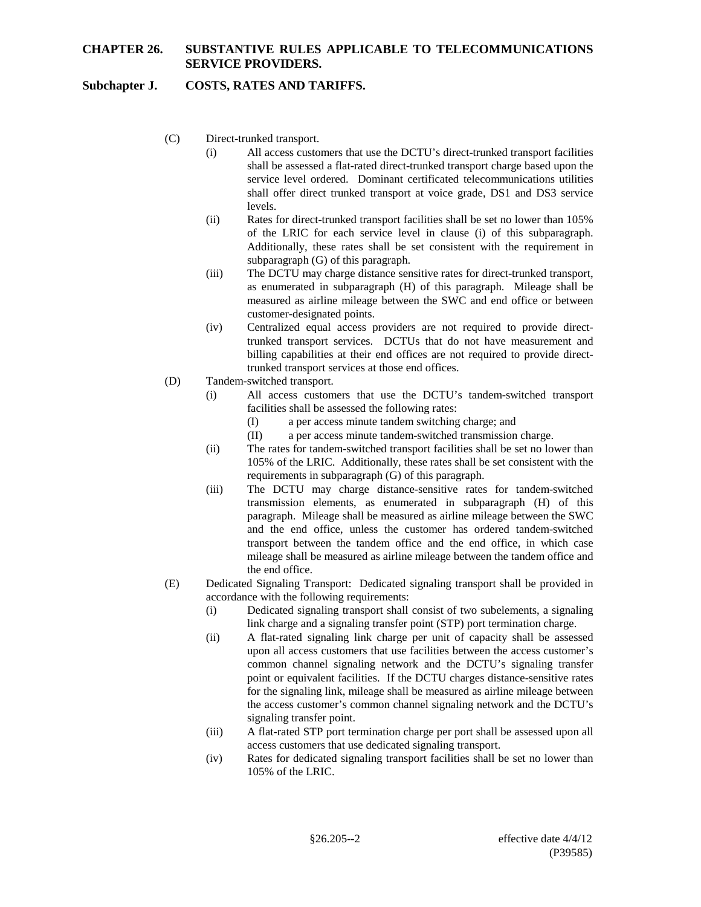## **Subchapter J. COSTS, RATES AND TARIFFS.**

- (C) Direct-trunked transport.
	- (i) All access customers that use the DCTU's direct-trunked transport facilities shall be assessed a flat-rated direct-trunked transport charge based upon the service level ordered. Dominant certificated telecommunications utilities shall offer direct trunked transport at voice grade, DS1 and DS3 service levels.
	- (ii) Rates for direct-trunked transport facilities shall be set no lower than 105% of the LRIC for each service level in clause (i) of this subparagraph. Additionally, these rates shall be set consistent with the requirement in subparagraph (G) of this paragraph.
	- (iii) The DCTU may charge distance sensitive rates for direct-trunked transport, as enumerated in subparagraph (H) of this paragraph. Mileage shall be measured as airline mileage between the SWC and end office or between customer-designated points.
	- (iv) Centralized equal access providers are not required to provide directtrunked transport services. DCTUs that do not have measurement and billing capabilities at their end offices are not required to provide directtrunked transport services at those end offices.
- (D) Tandem-switched transport.
	- (i) All access customers that use the DCTU's tandem-switched transport facilities shall be assessed the following rates:
		- (I) a per access minute tandem switching charge; and
		- (II) a per access minute tandem-switched transmission charge.
	- (ii) The rates for tandem-switched transport facilities shall be set no lower than 105% of the LRIC. Additionally, these rates shall be set consistent with the requirements in subparagraph (G) of this paragraph.
	- (iii) The DCTU may charge distance-sensitive rates for tandem-switched transmission elements, as enumerated in subparagraph (H) of this paragraph. Mileage shall be measured as airline mileage between the SWC and the end office, unless the customer has ordered tandem-switched transport between the tandem office and the end office, in which case mileage shall be measured as airline mileage between the tandem office and the end office.
- (E) Dedicated Signaling Transport: Dedicated signaling transport shall be provided in accordance with the following requirements:
	- (i) Dedicated signaling transport shall consist of two subelements, a signaling link charge and a signaling transfer point (STP) port termination charge.
	- (ii) A flat-rated signaling link charge per unit of capacity shall be assessed upon all access customers that use facilities between the access customer's common channel signaling network and the DCTU's signaling transfer point or equivalent facilities. If the DCTU charges distance-sensitive rates for the signaling link, mileage shall be measured as airline mileage between the access customer's common channel signaling network and the DCTU's signaling transfer point.
	- (iii) A flat-rated STP port termination charge per port shall be assessed upon all access customers that use dedicated signaling transport.
	- (iv) Rates for dedicated signaling transport facilities shall be set no lower than 105% of the LRIC.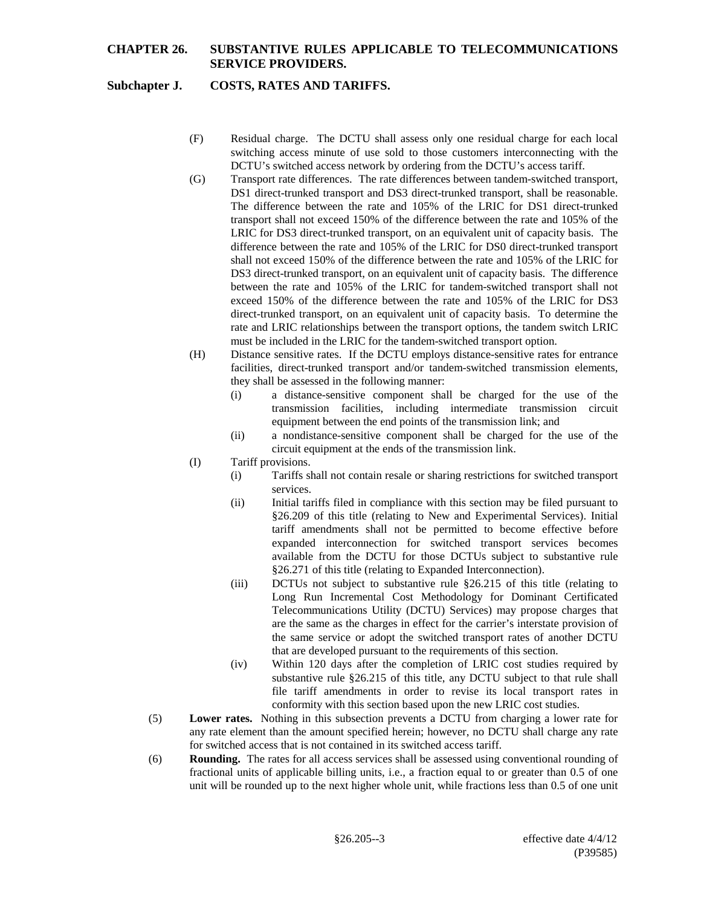#### **Subchapter J. COSTS, RATES AND TARIFFS.**

- (F) Residual charge. The DCTU shall assess only one residual charge for each local switching access minute of use sold to those customers interconnecting with the DCTU's switched access network by ordering from the DCTU's access tariff.
- (G) Transport rate differences. The rate differences between tandem-switched transport, DS1 direct-trunked transport and DS3 direct-trunked transport, shall be reasonable. The difference between the rate and 105% of the LRIC for DS1 direct-trunked transport shall not exceed 150% of the difference between the rate and 105% of the LRIC for DS3 direct-trunked transport, on an equivalent unit of capacity basis. The difference between the rate and 105% of the LRIC for DS0 direct-trunked transport shall not exceed 150% of the difference between the rate and 105% of the LRIC for DS3 direct-trunked transport, on an equivalent unit of capacity basis. The difference between the rate and 105% of the LRIC for tandem-switched transport shall not exceed 150% of the difference between the rate and 105% of the LRIC for DS3 direct-trunked transport, on an equivalent unit of capacity basis. To determine the rate and LRIC relationships between the transport options, the tandem switch LRIC must be included in the LRIC for the tandem-switched transport option.
- (H) Distance sensitive rates. If the DCTU employs distance-sensitive rates for entrance facilities, direct-trunked transport and/or tandem-switched transmission elements, they shall be assessed in the following manner:
	- (i) a distance-sensitive component shall be charged for the use of the transmission facilities, including intermediate transmission circuit equipment between the end points of the transmission link; and
	- (ii) a nondistance-sensitive component shall be charged for the use of the circuit equipment at the ends of the transmission link.
- (I) Tariff provisions.
	- (i) Tariffs shall not contain resale or sharing restrictions for switched transport services.
	- (ii) Initial tariffs filed in compliance with this section may be filed pursuant to §26.209 of this title (relating to New and Experimental Services). Initial tariff amendments shall not be permitted to become effective before expanded interconnection for switched transport services becomes available from the DCTU for those DCTUs subject to substantive rule §26.271 of this title (relating to Expanded Interconnection).
	- (iii) DCTUs not subject to substantive rule §26.215 of this title (relating to Long Run Incremental Cost Methodology for Dominant Certificated Telecommunications Utility (DCTU) Services) may propose charges that are the same as the charges in effect for the carrier's interstate provision of the same service or adopt the switched transport rates of another DCTU that are developed pursuant to the requirements of this section.
	- (iv) Within 120 days after the completion of LRIC cost studies required by substantive rule §26.215 of this title, any DCTU subject to that rule shall file tariff amendments in order to revise its local transport rates in conformity with this section based upon the new LRIC cost studies.
- (5) **Lower rates.** Nothing in this subsection prevents a DCTU from charging a lower rate for any rate element than the amount specified herein; however, no DCTU shall charge any rate for switched access that is not contained in its switched access tariff.
- (6) **Rounding.** The rates for all access services shall be assessed using conventional rounding of fractional units of applicable billing units, i.e., a fraction equal to or greater than 0.5 of one unit will be rounded up to the next higher whole unit, while fractions less than 0.5 of one unit